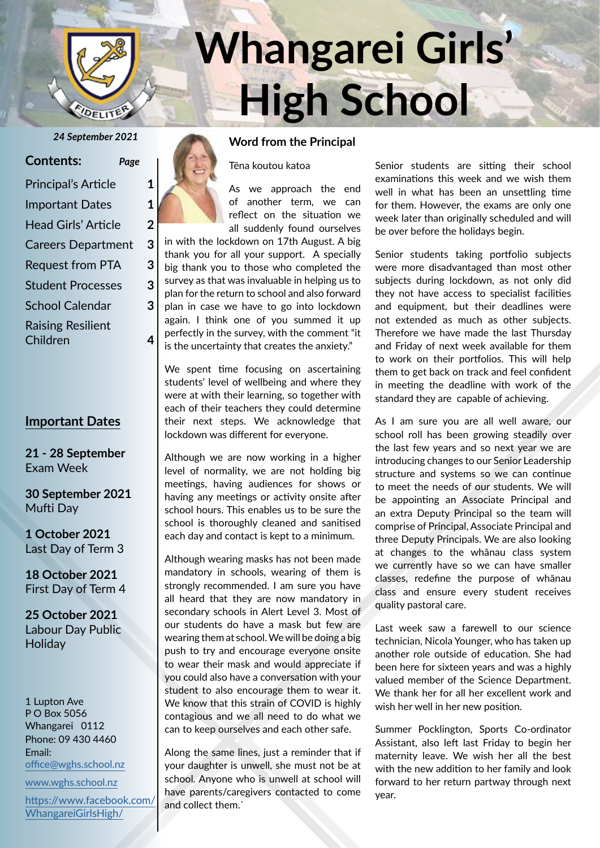

#### **Contents:** *Page*

| <b>Principal's Article</b> | 1 |
|----------------------------|---|
| <b>Important Dates</b>     | 1 |
| <b>Head Girls' Article</b> | 2 |
| <b>Careers Department</b>  | 3 |
| <b>Request from PTA</b>    | 3 |
| <b>Student Processes</b>   | 3 |
| <b>School Calendar</b>     | 3 |
| <b>Raising Resilient</b>   |   |
| Children                   |   |

#### **Important Dates**

**21 - 28 September** Exam Week

**30 September 2021** Mufti Day

**1 October 2021** Last Day of Term 3

**18 October 2021** First Day of Term 4

**25 October 2021** Labour Day Public **Holiday** 

1 Lupton Ave P O Box 5056 Whangarei 0112 Phone: 09 430 4460 Email: office@wghs.school.nz

www.wghs.school.nz

https://www.facebook.com/ WhangareiGirlsHigh/



# **Whangarei Girls' High School**

#### *24 September 2021* **Word from the Principal**

Tēna koutou katoa

As we approach the end of another term, we can reflect on the situation we all suddenly found ourselves in with the lockdown on 17th August. A big

thank you for all your support. A specially big thank you to those who completed the survey as that was invaluable in helping us to plan for the return to school and also forward plan in case we have to go into lockdown again. I think one of you summed it up perfectly in the survey, with the comment "it is the uncertainty that creates the anxiety."

We spent time focusing on ascertaining students' level of wellbeing and where they were at with their learning, so together with each of their teachers they could determine their next steps. We acknowledge that lockdown was different for everyone.

Although we are now working in a higher level of normality, we are not holding big meetings, having audiences for shows or having any meetings or activity onsite after school hours. This enables us to be sure the school is thoroughly cleaned and sanitised each day and contact is kept to a minimum.

Although wearing masks has not been made mandatory in schools, wearing of them is strongly recommended. I am sure you have all heard that they are now mandatory in secondary schools in Alert Level 3. Most of our students do have a mask but few are wearing them at school. We will be doing a big push to try and encourage everyone onsite to wear their mask and would appreciate if you could also have a conversation with your student to also encourage them to wear it. We know that this strain of COVID is highly contagious and we all need to do what we can to keep ourselves and each other safe.

Along the same lines, just a reminder that if your daughter is unwell, she must not be at school. Anyone who is unwell at school will have parents/caregivers contacted to come and collect them.`

Senior students are sitting their school examinations this week and we wish them well in what has been an unsettling time for them. However, the exams are only one week later than originally scheduled and will be over before the holidays begin.

Senior students taking portfolio subjects were more disadvantaged than most other subjects during lockdown, as not only did they not have access to specialist facilities and equipment, but their deadlines were not extended as much as other subjects. Therefore we have made the last Thursday and Friday of next week available for them to work on their portfolios. This will help them to get back on track and feel confident in meeting the deadline with work of the standard they are capable of achieving.

As I am sure you are all well aware, our school roll has been growing steadily over the last few years and so next year we are introducing changes to our Senior Leadership structure and systems so we can continue to meet the needs of our students. We will be appointing an Associate Principal and an extra Deputy Principal so the team will comprise of Principal, Associate Principal and three Deputy Principals. We are also looking at changes to the whānau class system we currently have so we can have smaller classes, redefine the purpose of whānau class and ensure every student receives quality pastoral care.

Last week saw a farewell to our science technician, Nicola Younger, who has taken up another role outside of education. She had been here for sixteen years and was a highly valued member of the Science Department. We thank her for all her excellent work and wish her well in her new position.

Summer Pocklington, Sports Co-ordinator Assistant, also left last Friday to begin her maternity leave. We wish her all the best with the new addition to her family and look forward to her return partway through next year.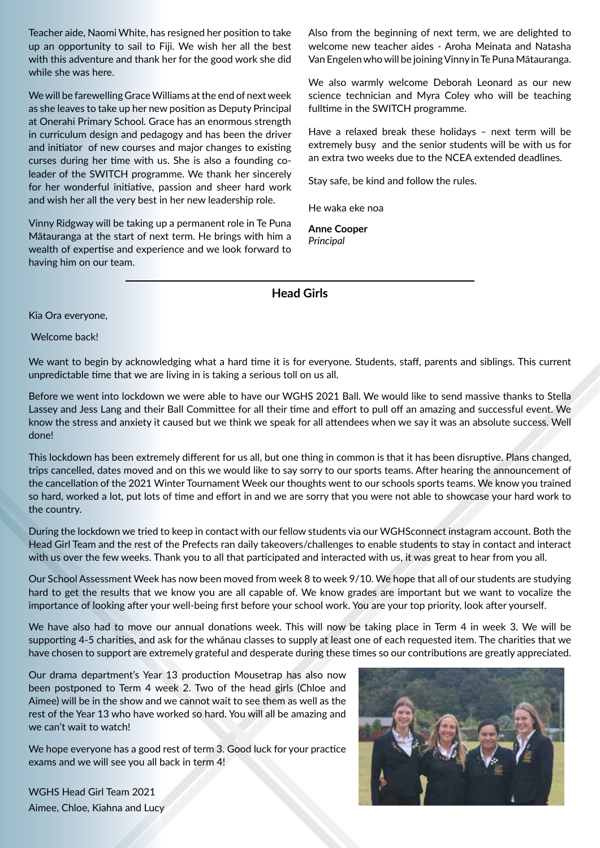Teacher aide, Naomi White, has resigned her position to take up an opportunity to sail to Fiji. We wish her all the best with this adventure and thank her for the good work she did while she was here.

We will be farewelling Grace Williams at the end of next week as she leaves to take up her new position as Deputy Principal at Onerahi Primary School. Grace has an enormous strength in curriculum design and pedagogy and has been the driver and initiator of new courses and major changes to existing curses during her time with us. She is also a founding coleader of the SWITCH programme. We thank her sincerely for her wonderful initiative, passion and sheer hard work and wish her all the very best in her new leadership role.

Vinny Ridgway will be taking up a permanent role in Te Puna Mātauranga at the start of next term. He brings with him a wealth of expertise and experience and we look forward to having him on our team.

Also from the beginning of next term, we are delighted to welcome new teacher aides - Aroha Meinata and Natasha Van Engelen who will be joining Vinny in Te Puna Mātauranga.

We also warmly welcome Deborah Leonard as our new science technician and Myra Coley who will be teaching fulltime in the SWITCH programme.

Have a relaxed break these holidays – next term will be extremely busy and the senior students will be with us for an extra two weeks due to the NCEA extended deadlines.

Stay safe, be kind and follow the rules.

He waka eke noa

**Anne Cooper** *Principal*

**Head Girls**

Kia Ora everyone,

Welcome back!

We want to begin by acknowledging what a hard time it is for everyone. Students, staff, parents and siblings. This current unpredictable time that we are living in is taking a serious toll on us all.

Before we went into lockdown we were able to have our WGHS 2021 Ball. We would like to send massive thanks to Stella Lassey and Jess Lang and their Ball Committee for all their time and effort to pull off an amazing and successful event. We know the stress and anxiety it caused but we think we speak for all attendees when we say it was an absolute success. Well done!

This lockdown has been extremely different for us all, but one thing in common is that it has been disruptive. Plans changed, trips cancelled, dates moved and on this we would like to say sorry to our sports teams. After hearing the announcement of the cancellation of the 2021 Winter Tournament Week our thoughts went to our schools sports teams. We know you trained so hard, worked a lot, put lots of time and effort in and we are sorry that you were not able to showcase your hard work to the country.

During the lockdown we tried to keep in contact with our fellow students via our WGHSconnect instagram account. Both the Head Girl Team and the rest of the Prefects ran daily takeovers/challenges to enable students to stay in contact and interact with us over the few weeks. Thank you to all that participated and interacted with us, it was great to hear from you all.

Our School Assessment Week has now been moved from week 8 to week 9/10. We hope that all of our students are studying hard to get the results that we know you are all capable of. We know grades are important but we want to vocalize the importance of looking after your well-being first before your school work. You are your top priority, look after yourself.

We have also had to move our annual donations week. This will now be taking place in Term 4 in week 3. We will be supporting 4-5 charities, and ask for the whānau classes to supply at least one of each requested item. The charities that we have chosen to support are extremely grateful and desperate during these times so our contributions are greatly appreciated.

Our drama department's Year 13 production Mousetrap has also now been postponed to Term 4 week 2. Two of the head girls (Chloe and Aimee) will be in the show and we cannot wait to see them as well as the rest of the Year 13 who have worked so hard. You will all be amazing and we can't wait to watch!

We hope everyone has a good rest of term 3. Good luck for your practice exams and we will see you all back in term 4!

WGHS Head Girl Team 2021 Aimee, Chloe, Kiahna and Lucy

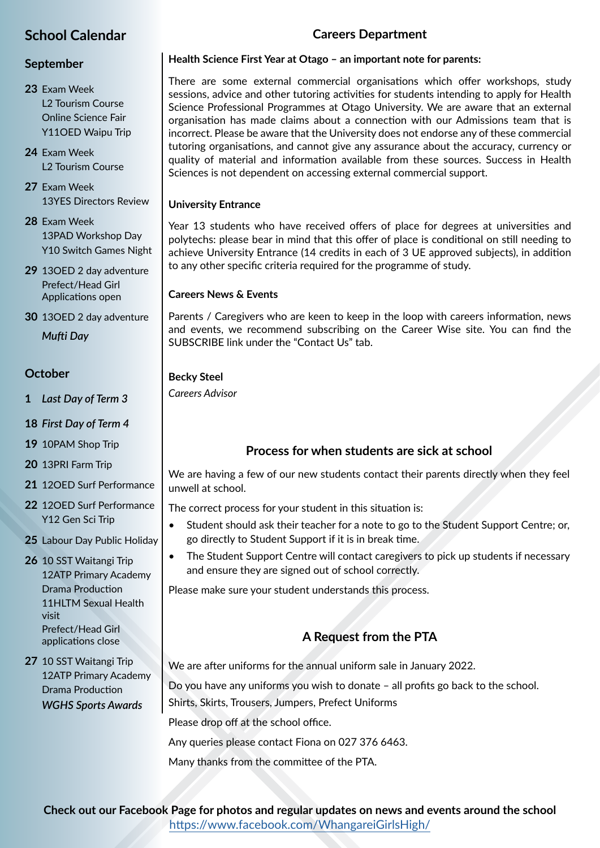### **School Calendar**

#### **September**

- **23** Exam Week L2 Tourism Course Online Science Fair Y11OED Waipu Trip
- **24** Exam Week L2 Tourism Course
- **27** Exam Week 13YES Directors Review
- **28** Exam Week 13PAD Workshop Day Y10 Switch Games Night
- **29** 13OED 2 day adventure Prefect/Head Girl Applications open
- **30** 13OED 2 day adventure *Mufti Day*

#### **October**

- **1** *Last Day of Term 3*
- **18** *First Day of Term 4*
- **19** 10PAM Shop Trip
- **20** 13PRI Farm Trip
- **21** 12OED Surf Performance
- **22** 12OED Surf Performance Y12 Gen Sci Trip
- **25** Labour Day Public Holiday
- **26** 10 SST Waitangi Trip 12ATP Primary Academy Drama Production 11HLTM Sexual Health visit Prefect/Head Girl applications close
- **27** 10 SST Waitangi Trip 12ATP Primary Academy Drama Production *WGHS Sports Awards*

#### **Careers Department**

#### **Health Science First Year at Otago – an important note for parents:**

There are some external commercial organisations which offer workshops, study sessions, advice and other tutoring activities for students intending to apply for Health Science Professional Programmes at Otago University. We are aware that an external organisation has made claims about a connection with our Admissions team that is incorrect. Please be aware that the University does not endorse any of these commercial tutoring organisations, and cannot give any assurance about the accuracy, currency or quality of material and information available from these sources. Success in Health Sciences is not dependent on accessing external commercial support.

#### **University Entrance**

Year 13 students who have received offers of place for degrees at universities and polytechs: please bear in mind that this offer of place is conditional on still needing to achieve University Entrance (14 credits in each of 3 UE approved subjects), in addition to any other specific criteria required for the programme of study.

#### **Careers News & Events**

Parents / Caregivers who are keen to keep in the loop with careers information, news and events, we recommend subscribing on the Career Wise site. You can find the SUBSCRIBE link under the "Contact Us" tab.

#### **Becky Steel**

*Careers Advisor*

#### **Process for when students are sick at school**

We are having a few of our new students contact their parents directly when they feel unwell at school.

The correct process for your student in this situation is:

- Student should ask their teacher for a note to go to the Student Support Centre; or, go directly to Student Support if it is in break time.
- The Student Support Centre will contact caregivers to pick up students if necessary and ensure they are signed out of school correctly.

Please make sure your student understands this process.

#### **A Request from the PTA**

We are after uniforms for the annual uniform sale in January 2022. Do you have any uniforms you wish to donate – all profits go back to the school. Shirts, Skirts, Trousers, Jumpers, Prefect Uniforms

Please drop off at the school office.

Any queries please contact Fiona on 027 376 6463.

Many thanks from the committee of the PTA.